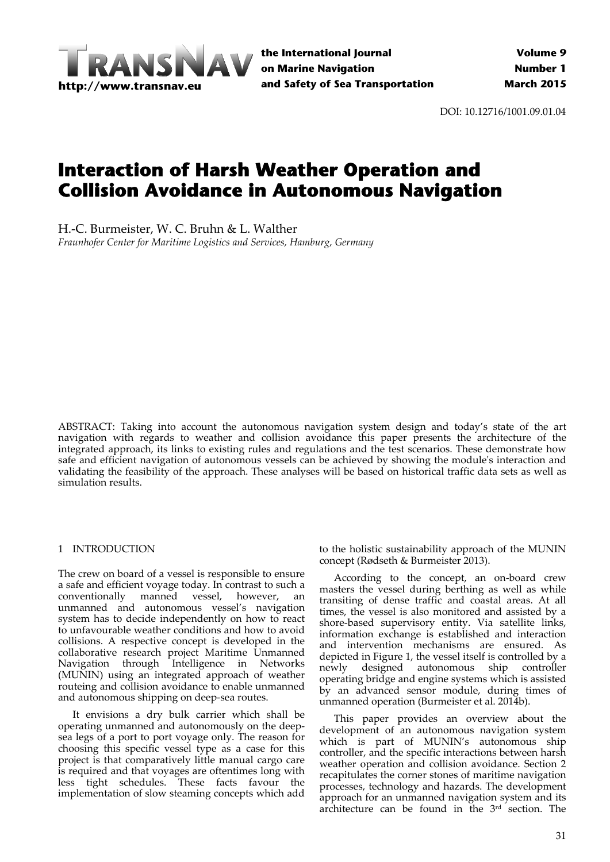

DOI: 10.12716/1001.09.01.04

# **Interaction of Harsh Weather Operation and Collision Avoidance in Autonomous Navigation**

H.‐C. Burmeister, W. C. Bruhn & L. Walther

*Fraunhofer Center for Maritime Logistics and Services, Hamburg, Germany*

ABSTRACT: Taking into account the autonomous navigation system design and today's state of the art navigation with regards to weather and collision avoidance this paper presents the architecture of the integrated approach, its links to existing rules and regulations and the test scenarios. These demonstrate how safe and efficient navigation of autonomous vessels can be achieved by showing the module's interaction and validating the feasibility of the approach. These analyses will be based on historical traffic data sets as well as simulation results.

# 1 INTRODUCTION

The crew on board of a vessel is responsible to ensure a safe and efficient voyage today. In contrast to such a conventionally manned vessel, however, an unmanned and autonomous vessel's navigation system has to decide independently on how to react to unfavourable weather conditions and how to avoid collisions. A respective concept is developed in the collaborative research project Maritime Unmanned Navigation through Intelligence in Networks (MUNIN) using an integrated approach of weather routeing and collision avoidance to enable unmanned and autonomous shipping on deep‐sea routes.

It envisions a dry bulk carrier which shall be operating unmanned and autonomously on the deep‐ sea legs of a port to port voyage only. The reason for choosing this specific vessel type as a case for this project is that comparatively little manual cargo care is required and that voyages are oftentimes long with less tight schedules. These facts favour the implementation of slow steaming concepts which add

to the holistic sustainability approach of the MUNIN concept (Rødseth & Burmeister 2013).

According to the concept, an on‐board crew masters the vessel during berthing as well as while transiting of dense traffic and coastal areas. At all times, the vessel is also monitored and assisted by a shore‐based supervisory entity. Via satellite links, information exchange is established and interaction and intervention mechanisms are ensured. As depicted in Figure 1, the vessel itself is controlled by a newly designed autonomous ship controller operating bridge and engine systems which is assisted by an advanced sensor module, during times of unmanned operation (Burmeister et al. 2014b).

This paper provides an overview about the development of an autonomous navigation system which is part of MUNIN's autonomous ship controller, and the specific interactions between harsh weather operation and collision avoidance. Section 2 recapitulates the corner stones of maritime navigation processes, technology and hazards. The development approach for an unmanned navigation system and its architecture can be found in the  $3<sup>rd</sup>$  section. The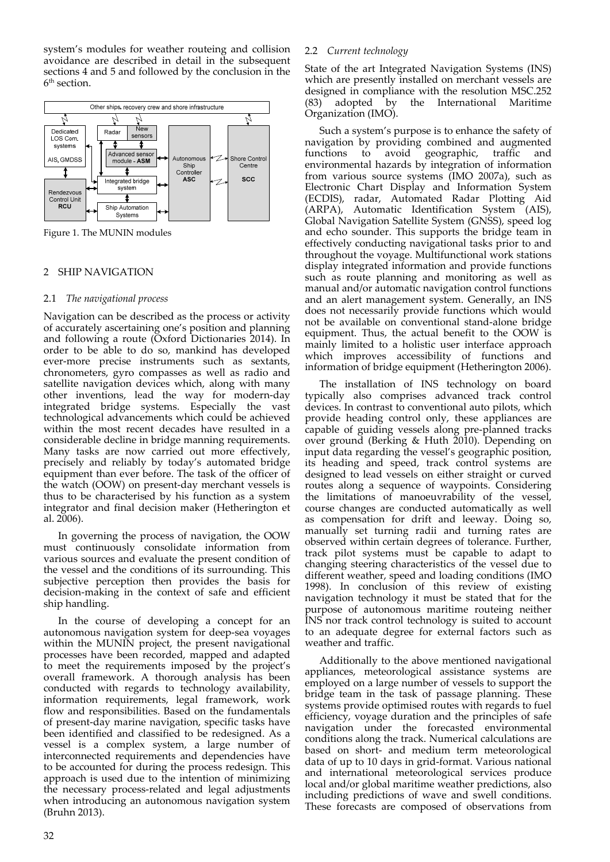system's modules for weather routeing and collision avoidance are described in detail in the subsequent sections 4 and 5 and followed by the conclusion in the 6<sup>th</sup> section.



Figure 1. The MUNIN modules

# 2 SHIP NAVIGATION

# 2.1 *The navigational process*

Navigation can be described as the process or activity of accurately ascertaining one's position and planning and following a route (Oxford Dictionaries 2014). In order to be able to do so, mankind has developed ever‐more precise instruments such as sextants, chronometers, gyro compasses as well as radio and satellite navigation devices which, along with many other inventions, lead the way for modern‐day integrated bridge systems. Especially the vast technological advancements which could be achieved within the most recent decades have resulted in a considerable decline in bridge manning requirements. Many tasks are now carried out more effectively, precisely and reliably by today's automated bridge equipment than ever before. The task of the officer of the watch (OOW) on present‐day merchant vessels is thus to be characterised by his function as a system integrator and final decision maker (Hetherington et al. 2006).

In governing the process of navigation, the OOW must continuously consolidate information from various sources and evaluate the present condition of the vessel and the conditions of its surrounding. This subjective perception then provides the basis for decision‐making in the context of safe and efficient ship handling.

In the course of developing a concept for an autonomous navigation system for deep‐sea voyages within the MUNIN project, the present navigational processes have been recorded, mapped and adapted to meet the requirements imposed by the project's overall framework. A thorough analysis has been conducted with regards to technology availability, information requirements, legal framework, work flow and responsibilities. Based on the fundamentals of present‐day marine navigation, specific tasks have been identified and classified to be redesigned. As a vessel is a complex system, a large number of interconnected requirements and dependencies have to be accounted for during the process redesign. This approach is used due to the intention of minimizing the necessary process‐related and legal adjustments when introducing an autonomous navigation system (Bruhn 2013).

# 2.2 *Current technology*

State of the art Integrated Navigation Systems (INS) which are presently installed on merchant vessels are designed in compliance with the resolution MSC.252 (83) adopted by the International Maritime Organization (IMO).

Such a system's purpose is to enhance the safety of navigation by providing combined and augmented<br>functions to avoid geographic, traffic and functions to avoid geographic, environmental hazards by integration of information from various source systems (IMO 2007a), such as Electronic Chart Display and Information System (ECDIS), radar, Automated Radar Plotting Aid (ARPA), Automatic Identification System (AIS), Global Navigation Satellite System (GNSS), speed log and echo sounder. This supports the bridge team in effectively conducting navigational tasks prior to and throughout the voyage. Multifunctional work stations display integrated information and provide functions such as route planning and monitoring as well as manual and/or automatic navigation control functions and an alert management system. Generally, an INS does not necessarily provide functions which would not be available on conventional stand‐alone bridge equipment. Thus, the actual benefit to the OOW is mainly limited to a holistic user interface approach which improves accessibility of functions and information of bridge equipment (Hetherington 2006).

The installation of INS technology on board typically also comprises advanced track control devices. In contrast to conventional auto pilots, which provide heading control only, these appliances are capable of guiding vessels along pre‐planned tracks over ground (Berking & Huth 2010). Depending on input data regarding the vessel's geographic position, its heading and speed, track control systems are designed to lead vessels on either straight or curved routes along a sequence of waypoints. Considering the limitations of manoeuvrability of the vessel, course changes are conducted automatically as well as compensation for drift and leeway. Doing so, manually set turning radii and turning rates are observed within certain degrees of tolerance. Further, track pilot systems must be capable to adapt to changing steering characteristics of the vessel due to different weather, speed and loading conditions (IMO 1998). In conclusion of this review of existing navigation technology it must be stated that for the purpose of autonomous maritime routeing neither INS nor track control technology is suited to account to an adequate degree for external factors such as weather and traffic.

Additionally to the above mentioned navigational appliances, meteorological assistance systems are employed on a large number of vessels to support the bridge team in the task of passage planning. These systems provide optimised routes with regards to fuel efficiency, voyage duration and the principles of safe navigation under the forecasted environmental conditions along the track. Numerical calculations are based on short‐ and medium term meteorological data of up to 10 days in grid‐format. Various national and international meteorological services produce local and/or global maritime weather predictions, also including predictions of wave and swell conditions. These forecasts are composed of observations from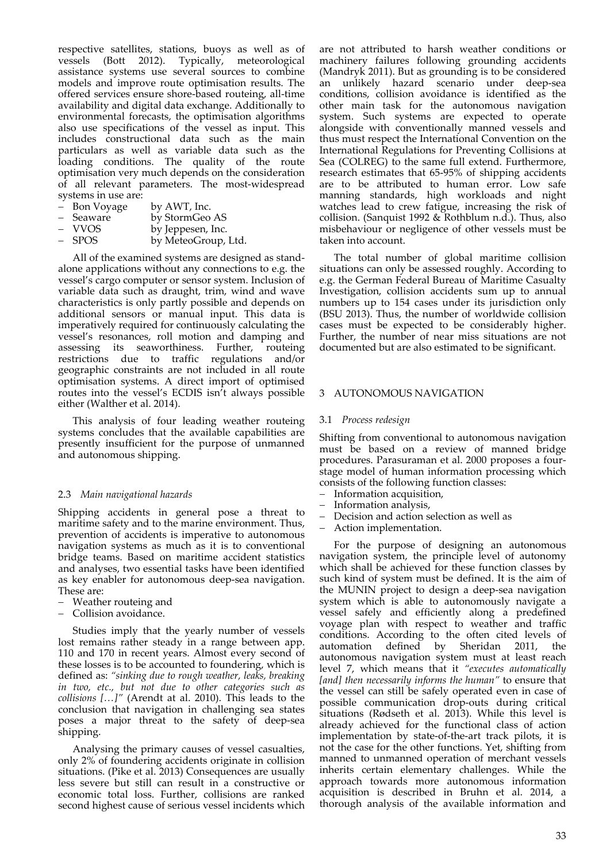respective satellites, stations, buoys as well as of vessels (Bott 2012). Typically, meteorological assistance systems use several sources to combine models and improve route optimisation results. The offered services ensure shore‐based routeing, all‐time availability and digital data exchange. Additionally to environmental forecasts, the optimisation algorithms also use specifications of the vessel as input. This includes constructional data such as the main particulars as well as variable data such as the loading conditions. The quality of the route optimisation very much depends on the consideration of all relevant parameters. The most-widespread systems in use are:

| Bon Voyage | by AWT, Inc. |
|------------|--------------|
|            |              |

| Seaware | by StormGeo AS |
|---------|----------------|
|---------|----------------|

- 
- VVOS by Jeppesen, Inc.<br>SPOS by MeteoGroup. by MeteoGroup, Ltd.

All of the examined systems are designed as stand‐ alone applications without any connections to e.g. the vessel's cargo computer or sensor system. Inclusion of variable data such as draught, trim, wind and wave characteristics is only partly possible and depends on additional sensors or manual input. This data is imperatively required for continuously calculating the vessel's resonances, roll motion and damping and assessing its seaworthiness. Further, routeing restrictions due to traffic regulations and/or geographic constraints are not included in all route optimisation systems. A direct import of optimised routes into the vessel's ECDIS isn't always possible either (Walther et al. 2014).

This analysis of four leading weather routeing systems concludes that the available capabilities are presently insufficient for the purpose of unmanned and autonomous shipping.

# 2.3 *Main navigational hazards*

Shipping accidents in general pose a threat to maritime safety and to the marine environment. Thus, prevention of accidents is imperative to autonomous navigation systems as much as it is to conventional bridge teams. Based on maritime accident statistics and analyses, two essential tasks have been identified as key enabler for autonomous deep‐sea navigation. These are:

- Weather routeing and
- Collision avoidance.

Studies imply that the yearly number of vessels lost remains rather steady in a range between app. 110 and 170 in recent years. Almost every second of these losses is to be accounted to foundering, which is defined as: *"sinking due to rough weather, leaks, breaking in two, etc., but not due to other categories such as collisions […]"* (Arendt at al. 2010). This leads to the conclusion that navigation in challenging sea states poses a major threat to the safety of deep‐sea shipping.

Analysing the primary causes of vessel casualties, only 2% of foundering accidents originate in collision situations. (Pike et al. 2013) Consequences are usually less severe but still can result in a constructive or economic total loss. Further, collisions are ranked second highest cause of serious vessel incidents which

are not attributed to harsh weather conditions or machinery failures following grounding accidents (Mandryk 2011). But as grounding is to be considered an unlikely hazard scenario under deep‐sea conditions, collision avoidance is identified as the other main task for the autonomous navigation system. Such systems are expected to operate alongside with conventionally manned vessels and thus must respect the International Convention on the International Regulations for Preventing Collisions at Sea (COLREG) to the same full extend. Furthermore, research estimates that 65‐95% of shipping accidents are to be attributed to human error. Low safe manning standards, high workloads and night watches lead to crew fatigue, increasing the risk of collision. (Sanquist 1992 & Rothblum n.d.). Thus, also misbehaviour or negligence of other vessels must be taken into account.

The total number of global maritime collision situations can only be assessed roughly. According to e.g. the German Federal Bureau of Maritime Casualty Investigation, collision accidents sum up to annual numbers up to 154 cases under its jurisdiction only (BSU 2013). Thus, the number of worldwide collision cases must be expected to be considerably higher. Further, the number of near miss situations are not documented but are also estimated to be significant.

## 3 AUTONOMOUS NAVIGATION

#### 3.1 *Process redesign*

Shifting from conventional to autonomous navigation must be based on a review of manned bridge procedures. Parasuraman et al. 2000 proposes a four‐ stage model of human information processing which consists of the following function classes:

- Information acquisition,
- Information analysis,
- Decision and action selection as well as
- Action implementation.

For the purpose of designing an autonomous navigation system, the principle level of autonomy which shall be achieved for these function classes by such kind of system must be defined. It is the aim of the MUNIN project to design a deep‐sea navigation system which is able to autonomously navigate a vessel safely and efficiently along a predefined voyage plan with respect to weather and traffic conditions. According to the often cited levels of automation defined by Sheridan 2011, the automation defined by Sheridan 2011, the autonomous navigation system must at least reach level 7, which means that it *"executes automatically [and] then necessarily informs the human"* to ensure that the vessel can still be safely operated even in case of possible communication drop‐outs during critical situations (Rødseth et al. 2013). While this level is already achieved for the functional class of action implementation by state‐of‐the‐art track pilots, it is not the case for the other functions. Yet, shifting from manned to unmanned operation of merchant vessels inherits certain elementary challenges. While the approach towards more autonomous information acquisition is described in Bruhn et al. 2014, a thorough analysis of the available information and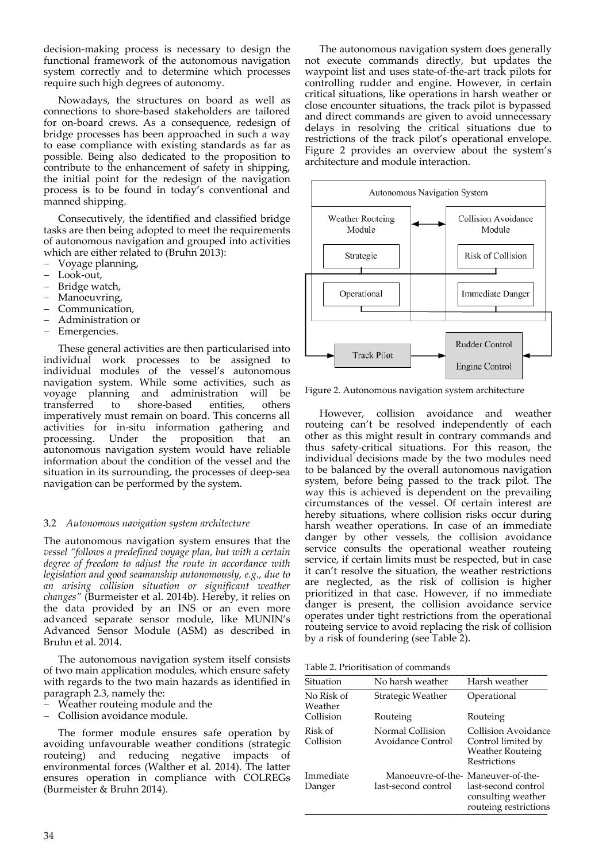decision‐making process is necessary to design the functional framework of the autonomous navigation system correctly and to determine which processes require such high degrees of autonomy.

Nowadays, the structures on board as well as connections to shore‐based stakeholders are tailored for on‐board crews. As a consequence, redesign of bridge processes has been approached in such a way to ease compliance with existing standards as far as possible. Being also dedicated to the proposition to contribute to the enhancement of safety in shipping, the initial point for the redesign of the navigation process is to be found in today's conventional and manned shipping.

Consecutively, the identified and classified bridge tasks are then being adopted to meet the requirements of autonomous navigation and grouped into activities which are either related to (Bruhn 2013):

- Voyage planning,
- Look‐out,
- Bridge watch,
- Manoeuvring,
- Communication,
- Administration or
- Emergencies.

These general activities are then particularised into individual work processes to be assigned to individual modules of the vessel's autonomous navigation system. While some activities, such as voyage planning and administration will be transferred to shore‐based entities, others imperatively must remain on board. This concerns all activities for in‐situ information gathering and processing. Under the proposition that an autonomous navigation system would have reliable information about the condition of the vessel and the situation in its surrounding, the processes of deep‐sea navigation can be performed by the system.

# 3.2 *Autonomous navigation system architecture*

The autonomous navigation system ensures that the *vessel "follows a predefined voyage plan, but with a certain degree of freedom to adjust the route in accordance with legislation and good seamanship autonomously, e.g., due to an arising collision situation or significant weather changes"* (Burmeister et al. 2014b). Hereby, it relies on the data provided by an INS or an even more advanced separate sensor module, like MUNIN's Advanced Sensor Module (ASM) as described in Bruhn et al. 2014.

The autonomous navigation system itself consists of two main application modules, which ensure safety with regards to the two main hazards as identified in paragraph 2.3, namely the:

- Weather routeing module and the
- Collision avoidance module.

The former module ensures safe operation by avoiding unfavourable weather conditions (strategic routeing) and reducing negative impacts of environmental forces (Walther et al. 2014). The latter ensures operation in compliance with COLREGs (Burmeister & Bruhn 2014).

The autonomous navigation system does generally not execute commands directly, but updates the waypoint list and uses state‐of‐the‐art track pilots for controlling rudder and engine. However, in certain critical situations, like operations in harsh weather or close encounter situations, the track pilot is bypassed and direct commands are given to avoid unnecessary delays in resolving the critical situations due to restrictions of the track pilot's operational envelope. Figure 2 provides an overview about the system's architecture and module interaction.



Figure 2. Autonomous navigation system architecture

However, collision avoidance and weather routeing can't be resolved independently of each other as this might result in contrary commands and thus safety‐critical situations. For this reason, the individual decisions made by the two modules need to be balanced by the overall autonomous navigation system, before being passed to the track pilot. The way this is achieved is dependent on the prevailing circumstances of the vessel. Of certain interest are hereby situations, where collision risks occur during harsh weather operations. In case of an immediate danger by other vessels, the collision avoidance service consults the operational weather routeing service, if certain limits must be respected, but in case it can't resolve the situation, the weather restrictions are neglected, as the risk of collision is higher prioritized in that case. However, if no immediate danger is present, the collision avoidance service operates under tight restrictions from the operational routeing service to avoid replacing the risk of collision by a risk of foundering (see Table 2).

Table 2. Prioritisation of commands \_\_\_\_\_\_\_\_\_\_\_\_\_\_\_\_\_\_\_\_\_\_\_\_\_\_\_\_\_\_\_\_\_\_\_\_\_\_\_\_\_\_\_\_\_\_\_

| Situation             | No harsh weather                                          | Harsh weather                                                                        |
|-----------------------|-----------------------------------------------------------|--------------------------------------------------------------------------------------|
| No Risk of<br>Weather | Strategic Weather                                         | Operational                                                                          |
| Collision             | Routeing                                                  | Routeing                                                                             |
| Risk of<br>Collision  | Normal Collision<br>Avoidance Control                     | Collision Avoidance<br>Control limited by<br><b>Weather Routeing</b><br>Restrictions |
| Immediate<br>Danger   | Manoeuvre-of-the- Maneuver-of-the-<br>last-second control | last-second control<br>consulting weather<br>routeing restrictions                   |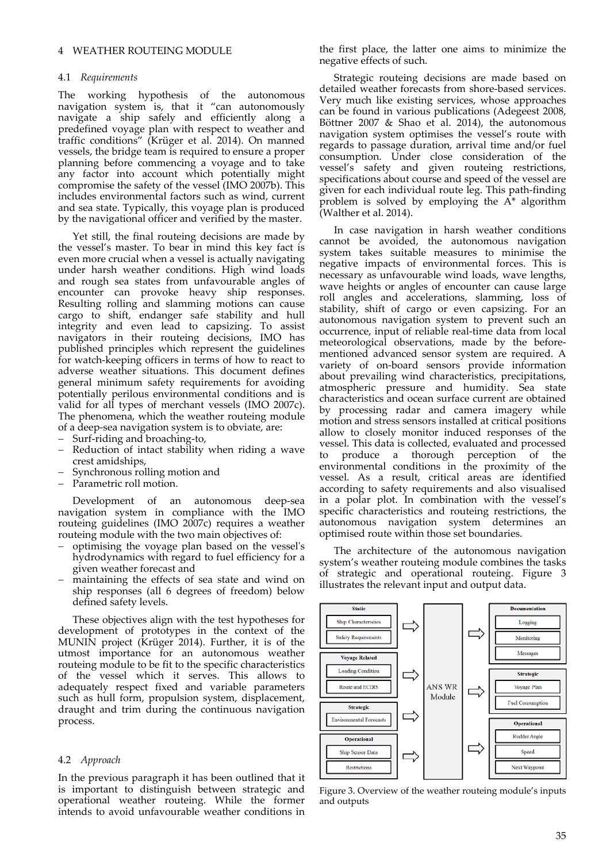#### 4.1 *Requirements*

The working hypothesis of the autonomous navigation system is, that it "can autonomously navigate a ship safely and efficiently along a predefined voyage plan with respect to weather and traffic conditions" (Krüger et al. 2014). On manned vessels, the bridge team is required to ensure a proper planning before commencing a voyage and to take any factor into account which potentially might compromise the safety of the vessel (IMO 2007b). This includes environmental factors such as wind, current and sea state. Typically, this voyage plan is produced by the navigational officer and verified by the master.

Yet still, the final routeing decisions are made by the vessel's master. To bear in mind this key fact is even more crucial when a vessel is actually navigating under harsh weather conditions. High wind loads and rough sea states from unfavourable angles of encounter can provoke heavy ship responses. Resulting rolling and slamming motions can cause cargo to shift, endanger safe stability and hull integrity and even lead to capsizing. To assist navigators in their routeing decisions, IMO has published principles which represent the guidelines for watch-keeping officers in terms of how to react to adverse weather situations. This document defines general minimum safety requirements for avoiding potentially perilous environmental conditions and is valid for all types of merchant vessels (IMO 2007c). The phenomena, which the weather routeing module of a deep‐sea navigation system is to obviate, are:

- Surf-riding and broaching-to,
- Reduction of intact stability when riding a wave crest amidships,
- Synchronous rolling motion and
- Parametric roll motion.

Development of an autonomous deep‐sea navigation system in compliance with the IMO routeing guidelines (IMO 2007c) requires a weather routeing module with the two main objectives of:

- optimising the voyage plan based on the vesselʹs hydrodynamics with regard to fuel efficiency for a given weather forecast and
- maintaining the effects of sea state and wind on ship responses (all 6 degrees of freedom) below defined safety levels.

These objectives align with the test hypotheses for development of prototypes in the context of the MUNIN project (Krüger 2014). Further, it is of the utmost importance for an autonomous weather routeing module to be fit to the specific characteristics of the vessel which it serves. This allows to adequately respect fixed and variable parameters such as hull form, propulsion system, displacement, draught and trim during the continuous navigation process.

#### 4.2 *Approach*

In the previous paragraph it has been outlined that it is important to distinguish between strategic and operational weather routeing. While the former intends to avoid unfavourable weather conditions in

the first place, the latter one aims to minimize the negative effects of such.

Strategic routeing decisions are made based on detailed weather forecasts from shore‐based services. Very much like existing services, whose approaches can be found in various publications (Adegeest 2008, Böttner 2007 & Shao et al. 2014), the autonomous navigation system optimises the vessel's route with regards to passage duration, arrival time and/or fuel consumption. Under close consideration of the vessel's safety and given routeing restrictions, specifications about course and speed of the vessel are given for each individual route leg. This path‐finding problem is solved by employing the  $A^*$  algorithm (Walther et al. 2014).

In case navigation in harsh weather conditions cannot be avoided, the autonomous navigation system takes suitable measures to minimise the negative impacts of environmental forces. This is necessary as unfavourable wind loads, wave lengths, wave heights or angles of encounter can cause large roll angles and accelerations, slamming, loss of stability, shift of cargo or even capsizing. For an autonomous navigation system to prevent such an occurrence, input of reliable real‐time data from local meteorological observations, made by the before‐ mentioned advanced sensor system are required. A variety of on‐board sensors provide information about prevailing wind characteristics, precipitations, atmospheric pressure and humidity. Sea state characteristics and ocean surface current are obtained by processing radar and camera imagery while motion and stress sensors installed at critical positions allow to closely monitor induced responses of the vessel. This data is collected, evaluated and processed to produce a thorough perception of the environmental conditions in the proximity of the vessel. As a result, critical areas are identified according to safety requirements and also visualised in a polar plot. In combination with the vessel's specific characteristics and routeing restrictions, the autonomous navigation system determines an optimised route within those set boundaries.

The architecture of the autonomous navigation system's weather routeing module combines the tasks of strategic and operational routeing. Figure 3 illustrates the relevant input and output data.



Figure 3. Overview of the weather routeing module's inputs and outputs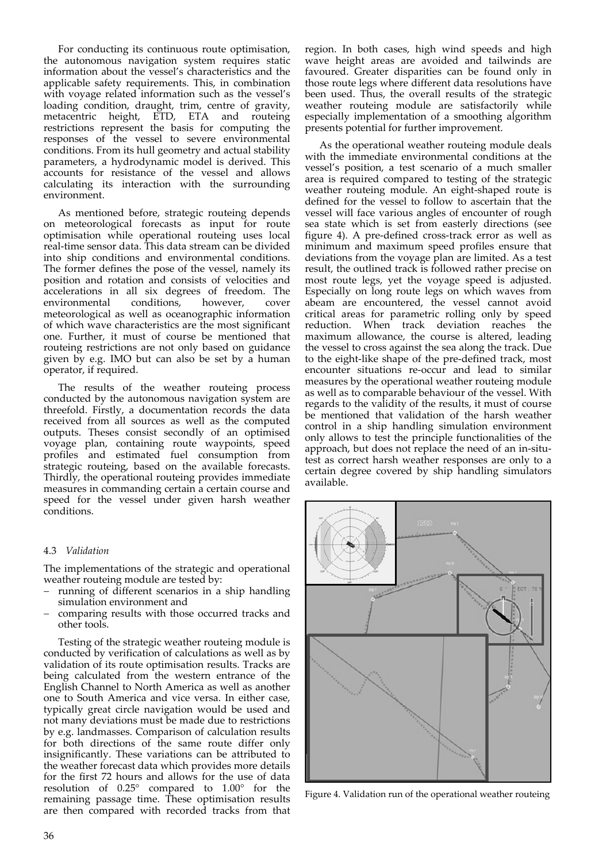For conducting its continuous route optimisation, the autonomous navigation system requires static information about the vessel's characteristics and the applicable safety requirements. This, in combination with voyage related information such as the vessel's loading condition, draught, trim, centre of gravity, metacentric height, ETD, ETA and routeing restrictions represent the basis for computing the responses of the vessel to severe environmental conditions. From its hull geometry and actual stability parameters, a hydrodynamic model is derived. This accounts for resistance of the vessel and allows calculating its interaction with the surrounding environment.

As mentioned before, strategic routeing depends on meteorological forecasts as input for route optimisation while operational routeing uses local real‐time sensor data. This data stream can be divided into ship conditions and environmental conditions. The former defines the pose of the vessel, namely its position and rotation and consists of velocities and accelerations in all six degrees of freedom. The environmental conditions, however, cover meteorological as well as oceanographic information of which wave characteristics are the most significant one. Further, it must of course be mentioned that routeing restrictions are not only based on guidance given by e.g. IMO but can also be set by a human operator, if required.

The results of the weather routeing process conducted by the autonomous navigation system are threefold. Firstly, a documentation records the data received from all sources as well as the computed outputs. Theses consist secondly of an optimised voyage plan, containing route waypoints, speed profiles and estimated fuel consumption from strategic routeing, based on the available forecasts. Thirdly, the operational routeing provides immediate measures in commanding certain a certain course and speed for the vessel under given harsh weather conditions.

# 4.3 *Validation*

The implementations of the strategic and operational weather routeing module are tested by:

- running of different scenarios in a ship handling simulation environment and
- comparing results with those occurred tracks and other tools.

Testing of the strategic weather routeing module is conducted by verification of calculations as well as by validation of its route optimisation results. Tracks are being calculated from the western entrance of the English Channel to North America as well as another one to South America and vice versa. In either case, typically great circle navigation would be used and not many deviations must be made due to restrictions by e.g. landmasses. Comparison of calculation results for both directions of the same route differ only insignificantly. These variations can be attributed to the weather forecast data which provides more details for the first 72 hours and allows for the use of data resolution of 0.25° compared to 1.00° for the remaining passage time. These optimisation results are then compared with recorded tracks from that region. In both cases, high wind speeds and high wave height areas are avoided and tailwinds are favoured. Greater disparities can be found only in those route legs where different data resolutions have been used. Thus, the overall results of the strategic weather routeing module are satisfactorily while especially implementation of a smoothing algorithm presents potential for further improvement.

As the operational weather routeing module deals with the immediate environmental conditions at the vessel's position, a test scenario of a much smaller area is required compared to testing of the strategic weather routeing module. An eight‐shaped route is defined for the vessel to follow to ascertain that the vessel will face various angles of encounter of rough sea state which is set from easterly directions (see figure 4). A pre‐defined cross‐track error as well as minimum and maximum speed profiles ensure that deviations from the voyage plan are limited. As a test result, the outlined track is followed rather precise on most route legs, yet the voyage speed is adjusted. Especially on long route legs on which waves from abeam are encountered, the vessel cannot avoid critical areas for parametric rolling only by speed reduction. When track deviation reaches the maximum allowance, the course is altered, leading the vessel to cross against the sea along the track. Due to the eight‐like shape of the pre‐defined track, most encounter situations re‐occur and lead to similar measures by the operational weather routeing module as well as to comparable behaviour of the vessel. With regards to the validity of the results, it must of course be mentioned that validation of the harsh weather control in a ship handling simulation environment only allows to test the principle functionalities of the approach, but does not replace the need of an in‐situ‐ test as correct harsh weather responses are only to a certain degree covered by ship handling simulators available.



Figure 4. Validation run of the operational weather routeing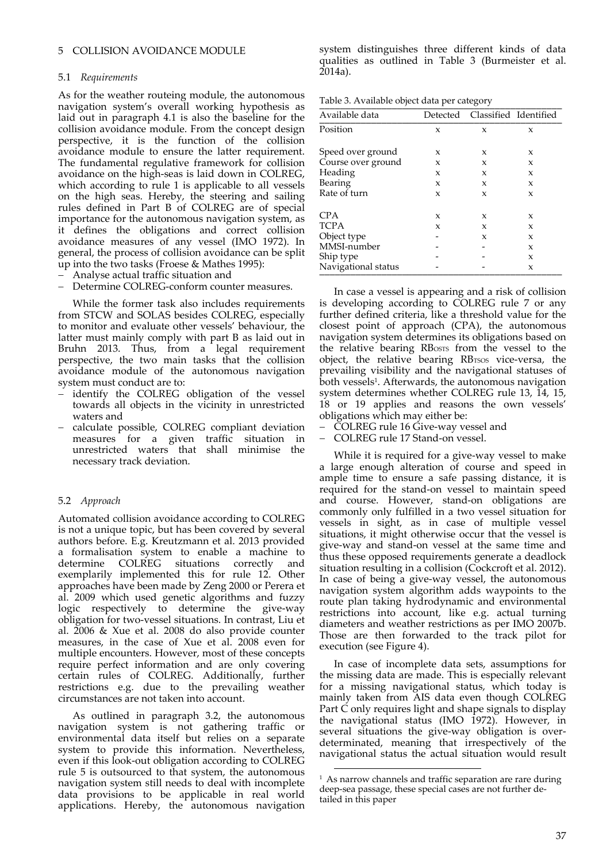# 5 COLLISION AVOIDANCE MODULE

# 5.1 *Requirements*

As for the weather routeing module, the autonomous navigation system's overall working hypothesis as laid out in paragraph 4.1 is also the baseline for the collision avoidance module. From the concept design perspective, it is the function of the collision avoidance module to ensure the latter requirement. The fundamental regulative framework for collision avoidance on the high‐seas is laid down in COLREG, which according to rule 1 is applicable to all vessels on the high seas. Hereby, the steering and sailing rules defined in Part B of COLREG are of special importance for the autonomous navigation system, as it defines the obligations and correct collision avoidance measures of any vessel (IMO 1972). In general, the process of collision avoidance can be split up into the two tasks (Froese & Mathes 1995):

- Analyse actual traffic situation and
- Determine COLREG-conform counter measures.

While the former task also includes requirements from STCW and SOLAS besides COLREG, especially to monitor and evaluate other vessels' behaviour, the latter must mainly comply with part B as laid out in Bruhn 2013. Thus, from a legal requirement perspective, the two main tasks that the collision avoidance module of the autonomous navigation system must conduct are to:

- $-$  identify the COLREG obligation of the vessel towards all objects in the vicinity in unrestricted waters and
- calculate possible, COLREG compliant deviation measures for a given traffic situation in unrestricted waters that shall minimise the necessary track deviation.

# 5.2 *Approach*

Automated collision avoidance according to COLREG is not a unique topic, but has been covered by several authors before. E.g. Kreutzmann et al. 2013 provided a formalisation system to enable a machine to determine COLREG situations correctly and exemplarily implemented this for rule 12. Other approaches have been made by Zeng 2000 or Perera et al. 2009 which used genetic algorithms and fuzzy logic respectively to determine the give-way obligation for two‐vessel situations. In contrast, Liu et al. 2006 & Xue et al. 2008 do also provide counter measures, in the case of Xue et al. 2008 even for multiple encounters. However, most of these concepts require perfect information and are only covering certain rules of COLREG. Additionally, further restrictions e.g. due to the prevailing weather circumstances are not taken into account.

As outlined in paragraph 3.2, the autonomous navigation system is not gathering traffic or environmental data itself but relies on a separate system to provide this information. Nevertheless, even if this look‐out obligation according to COLREG rule 5 is outsourced to that system, the autonomous navigation system still needs to deal with incomplete data provisions to be applicable in real world applications. Hereby, the autonomous navigation

system distinguishes three different kinds of data qualities as outlined in Table 3 (Burmeister et al. 2014a).

Table 3. Available object data per category

| Available data      |   | Detected Classified Identified |   |
|---------------------|---|--------------------------------|---|
| Position            | X | X                              | X |
| Speed over ground   | X | X                              | X |
| Course over ground  | X | X                              | x |
| Heading             | X | X                              | x |
| Bearing             | X | X                              | x |
| Rate of turn        | X | X                              | x |
| <b>CPA</b>          | X | X                              | X |
| <b>TCPA</b>         | X | X                              | x |
| Object type         |   | X                              | x |
| MMSI-number         |   |                                | X |
| Ship type           |   |                                | x |
| Navigational status |   |                                | X |

In case a vessel is appearing and a risk of collision is developing according to COLREG rule 7 or any further defined criteria, like a threshold value for the closest point of approach (CPA), the autonomous navigation system determines its obligations based on the relative bearing RBosts from the vessel to the object, the relative bearing RBTSOS vice-versa, the prevailing visibility and the navigational statuses of both vessels<sup>1</sup>. Afterwards, the autonomous navigation system determines whether COLREG rule 13, 14, 15, 18 or 19 applies and reasons the own vessels' obligations which may either be:

– COLREG rule 16 Give-way vessel and

COLREG rule 17 Stand‐on vessel.

While it is required for a give-way vessel to make a large enough alteration of course and speed in ample time to ensure a safe passing distance, it is required for the stand‐on vessel to maintain speed and course. However, stand‐on obligations are commonly only fulfilled in a two vessel situation for vessels in sight, as in case of multiple vessel situations, it might otherwise occur that the vessel is give‐way and stand‐on vessel at the same time and thus these opposed requirements generate a deadlock situation resulting in a collision (Cockcroft et al. 2012). In case of being a give‐way vessel, the autonomous navigation system algorithm adds waypoints to the route plan taking hydrodynamic and environmental restrictions into account, like e.g. actual turning diameters and weather restrictions as per IMO 2007b. Those are then forwarded to the track pilot for execution (see Figure 4).

In case of incomplete data sets, assumptions for the missing data are made. This is especially relevant for a missing navigational status, which today is mainly taken from AIS data even though COLREG Part C only requires light and shape signals to display the navigational status (IMO 1972). However, in several situations the give-way obligation is overdeterminated, meaning that irrespectively of the navigational status the actual situation would result

<u> Andrew Maria (1989)</u>

<sup>&</sup>lt;sup>1</sup> As narrow channels and traffic separation are rare during deep-sea passage, these special cases are not further detailed in this paper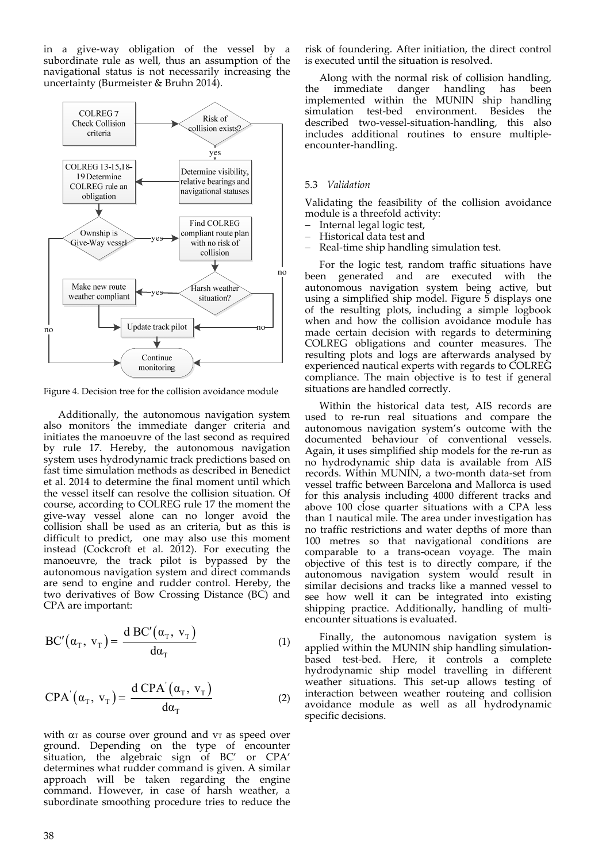in a give‐way obligation of the vessel by a subordinate rule as well, thus an assumption of the navigational status is not necessarily increasing the uncertainty (Burmeister & Bruhn 2014).



Figure 4. Decision tree for the collision avoidance module

Additionally, the autonomous navigation system also monitors the immediate danger criteria and initiates the manoeuvre of the last second as required by rule 17. Hereby, the autonomous navigation system uses hydrodynamic track predictions based on fast time simulation methods as described in Benedict et al. 2014 to determine the final moment until which the vessel itself can resolve the collision situation. Of course, according to COLREG rule 17 the moment the give‐way vessel alone can no longer avoid the collision shall be used as an criteria, but as this is difficult to predict, one may also use this moment instead (Cockcroft et al. 2012). For executing the manoeuvre, the track pilot is bypassed by the autonomous navigation system and direct commands are send to engine and rudder control. Hereby, the two derivatives of Bow Crossing Distance (BC) and CPA are important:

$$
BC'(\alpha_{T}, v_{T}) = \frac{d BC'(\alpha_{T}, v_{T})}{d\alpha_{T}}
$$
 (1)

$$
CPA^{'}(\alpha_{\text{T}}, \mathbf{v}_{\text{T}}) = \frac{\mathbf{d} \, \text{CPA}^{'}(\alpha_{\text{T}}, \mathbf{v}_{\text{T}})}{\mathbf{d}\alpha_{\text{T}}}
$$
 (2)

with  $\alpha$  as course over ground and  $v$  as speed over ground. Depending on the type of encounter situation, the algebraic sign of BC' or CPA' determines what rudder command is given. A similar approach will be taken regarding the engine command. However, in case of harsh weather, a subordinate smoothing procedure tries to reduce the risk of foundering. After initiation, the direct control is executed until the situation is resolved.

Along with the normal risk of collision handling, the immediate danger handling has been implemented within the MUNIN ship handling simulation test-bed environment. Besides the described two‐vessel‐situation‐handling, this also includes additional routines to ensure multiple‐ encounter‐handling.

# 5.3 *Validation*

Validating the feasibility of the collision avoidance module is a threefold activity:

- Internal legal logic test,
- Historical data test and
- Real-time ship handling simulation test.

For the logic test, random traffic situations have been generated and are executed with the autonomous navigation system being active, but using a simplified ship model. Figure  $\bar{5}$  displays one of the resulting plots, including a simple logbook when and how the collision avoidance module has made certain decision with regards to determining COLREG obligations and counter measures. The resulting plots and logs are afterwards analysed by experienced nautical experts with regards to COLREG compliance. The main objective is to test if general situations are handled correctly.

Within the historical data test, AIS records are used to re‐run real situations and compare the autonomous navigation system's outcome with the documented behaviour of conventional vessels. Again, it uses simplified ship models for the re‐run as no hydrodynamic ship data is available from AIS records. Within MUNIN, a two-month data-set from vessel traffic between Barcelona and Mallorca is used for this analysis including 4000 different tracks and above 100 close quarter situations with a CPA less than 1 nautical mile. The area under investigation has no traffic restrictions and water depths of more than 100 metres so that navigational conditions are comparable to a trans‐ocean voyage. The main objective of this test is to directly compare, if the autonomous navigation system would result in similar decisions and tracks like a manned vessel to see how well it can be integrated into existing shipping practice. Additionally, handling of multiencounter situations is evaluated.

Finally, the autonomous navigation system is applied within the MUNIN ship handling simulation‐ based test-bed. Here, it controls a complete hydrodynamic ship model travelling in different weather situations. This set‐up allows testing of interaction between weather routeing and collision avoidance module as well as all hydrodynamic specific decisions.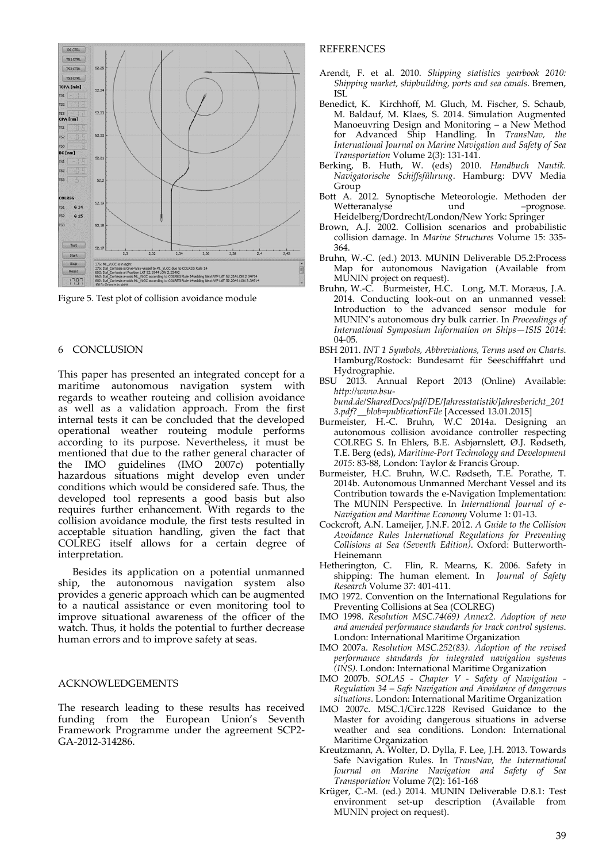

Figure 5. Test plot of collision avoidance module

# 6 CONCLUSION

This paper has presented an integrated concept for a maritime autonomous navigation system with regards to weather routeing and collision avoidance as well as a validation approach. From the first internal tests it can be concluded that the developed operational weather routeing module performs according to its purpose. Nevertheless, it must be mentioned that due to the rather general character of the IMO guidelines (IMO 2007c) potentially hazardous situations might develop even under conditions which would be considered safe. Thus, the developed tool represents a good basis but also requires further enhancement. With regards to the collision avoidance module, the first tests resulted in acceptable situation handling, given the fact that COLREG itself allows for a certain degree of interpretation.

Besides its application on a potential unmanned ship, the autonomous navigation system also provides a generic approach which can be augmented to a nautical assistance or even monitoring tool to improve situational awareness of the officer of the watch. Thus, it holds the potential to further decrease human errors and to improve safety at seas.

# ACKNOWLEDGEMENTS

The research leading to these results has received funding from the European Union's Seventh Framework Programme under the agreement SCP2‐ GA‐2012‐314286.

#### REFERENCES

- Arendt, F. et al. 2010. *Shipping statistics yearbook 2010: Shipping market, shipbuilding, ports and sea canals*. Bremen, ISL
- Benedict, K. Kirchhoff, M. Gluch, M. Fischer, S. Schaub, M. Baldauf, M. Klaes, S. 2014. Simulation Augmented Manoeuvring Design and Monitoring – a New Method for Advanced Ship Handling. In *TransNav, the International Journal on Marine Navigation and Safety of Sea Transportation* Volume 2(3): 131‐141.
- Berking, B. Huth, W. (eds) 2010. *Handbuch Nautik. Navigatorische Schiffsführung*. Hamburg: DVV Media Group
- Bott A. 2012. Synoptische Meteorologie. Methoden der Wetteranalyse und – prognose. Heidelberg/Dordrecht/London/New York: Springer
- Brown, A.J. 2002. Collision scenarios and probabilistic collision damage. In *Marine Structures* Volume 15: 335‐ 364.
- Bruhn, W.‐C. (ed.) 2013. MUNIN Deliverable D5.2:Process Map for autonomous Navigation (Available from MUNIN project on request).
- Bruhn, W.-C. Burmeister, H.C. Long, M.T. Moræus, J.A. 2014. Conducting look‐out on an unmanned vessel: Introduction to the advanced sensor module for MUNIN's autonomous dry bulk carrier. In *Proceedings of International Symposium Information on Ships—ISIS 2014*: 04‐05.
- BSH 2011. *INT 1 Symbols, Abbreviations, Terms used on Charts*. Hamburg/Rostock: Bundesamt für Seeschifffahrt und Hydrographie.
- BSU 2013. Annual Report 2013 (Online) Available: *http://www.bsu‐ bund.de/SharedDocs/pdf/DE/Jahresstatistik/Jahresbericht\_201 3.pdf?\_\_blob=publicationFile* [Accessed 13.01.2015]
- Burmeister, H.‐C. Bruhn, W.C 2014a. Designing an autonomous collision avoidance controller respecting COLREG S. In Ehlers, B.E. Asbjørnslett, Ø.J. Rødseth, T.E. Berg (eds), *Maritime‐Port Technology and Development 2015*: 83‐88, London: Taylor & Francis Group.
- Burmeister, H.C. Bruhn, W.C. Rødseth, T.E. Porathe, T. 2014b. Autonomous Unmanned Merchant Vessel and its Contribution towards the e‐Navigation Implementation: The MUNIN Perspective. In *International Journal of e‐ Navigation and Maritime Economy* Volume 1: 01‐13.
- Cockcroft, A.N. Lameijer, J.N.F. 2012. *A Guide to the Collision Avoidance Rules International Regulations for Preventing Collisions at Sea (Seventh Edition)*. Oxford: Butterworth‐
- Heinemann<br>Hetherington, C. Flin, R. Mearns, K. 2006. Safety in shipping: The human element. In *Journal of Safety Research* Volume 37: 401‐411.
- IMO 1972. Convention on the International Regulations for Preventing Collisions at Sea (COLREG)
- IMO 1998. *Resolution MSC.74(69) Annex2. Adoption of new and amended performance standards for track control systems*. London: International Maritime Organization
- IMO 2007a. *Resolution MSC.252(83). Adoption of the revised performance standards for integrated navigation systems (INS)*. London: International Maritime Organization
- IMO 2007b. *SOLAS ‐ Chapter V ‐ Safety of Navigation ‐ Regulation 34 – Safe Navigation and Avoidance of dangerous situations*. London: International Maritime Organization
- IMO 2007c. MSC.1/Circ.1228 Revised Guidance to the Master for avoiding dangerous situations in adverse weather and sea conditions. London: International Maritime Organization
- Kreutzmann, A. Wolter, D. Dylla, F. Lee, J.H. 2013. Towards Safe Navigation Rules. In *TransNav, the International Journal on Marine Navigation and Safety of Sea Transportation* Volume 7(2): 161‐168
- Krüger, C.‐M. (ed.) 2014. MUNIN Deliverable D.8.1: Test environment set-up description (Available from MUNIN project on request).